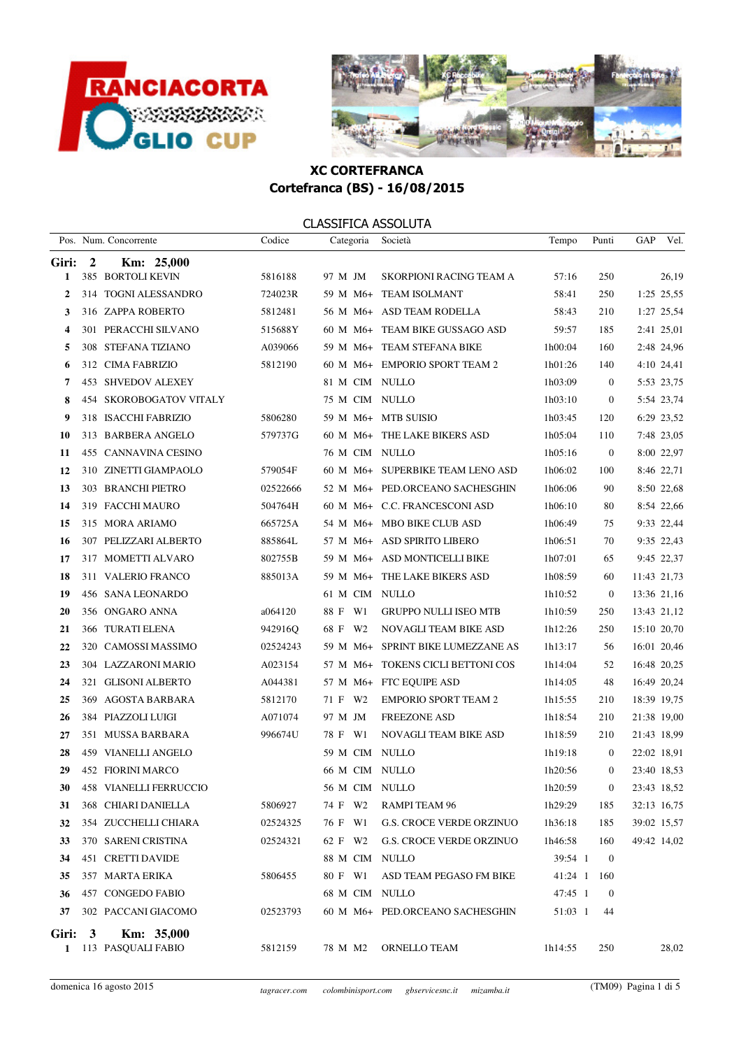



|              |                         | Pos. Num. Concorrente   | Codice   | Categoria      | Società                          | Tempo   | Punti            | GAP         | Vel.       |
|--------------|-------------------------|-------------------------|----------|----------------|----------------------------------|---------|------------------|-------------|------------|
| Giri:        | $\overline{\mathbf{c}}$ | Km: 25,000              |          |                |                                  |         |                  |             |            |
| 1            |                         | 385 BORTOLI KEVIN       | 5816188  | 97 M JM        | SKORPIONI RACING TEAM A          | 57:16   | 250              |             | 26,19      |
| $\mathbf{2}$ |                         | 314 TOGNI ALESSANDRO    | 724023R  |                | 59 M M6+ TEAM ISOLMANT           | 58:41   | 250              |             | 1:25 25,55 |
| 3            |                         | 316 ZAPPA ROBERTO       | 5812481  |                | 56 M M6+ ASD TEAM RODELLA        | 58:43   | 210              |             | 1:27 25,54 |
| 4            |                         | 301 PERACCHI SILVANO    | 515688Y  |                | 60 M M6+ TEAM BIKE GUSSAGO ASD   | 59:57   | 185              |             | 2:41 25,01 |
| 5            |                         | 308 STEFANA TIZIANO     | A039066  |                | 59 M M6+ TEAM STEFANA BIKE       | 1h00:04 | 160              |             | 2:48 24,96 |
| 6            |                         | 312 CIMA FABRIZIO       | 5812190  |                | 60 M M6+ EMPORIO SPORT TEAM 2    | 1h01:26 | 140              |             | 4:10 24,41 |
| 7            |                         | 453 SHVEDOV ALEXEY      |          | 81 M CIM NULLO |                                  | 1h03:09 | $\overline{0}$   |             | 5:53 23,75 |
| 8            |                         | 454 SKOROBOGATOV VITALY |          | 75 M CIM NULLO |                                  | 1h03:10 | $\mathbf{0}$     |             | 5:54 23,74 |
| 9            |                         | 318 ISACCHI FABRIZIO    | 5806280  |                | 59 M M6+ MTB SUISIO              | 1h03:45 | 120              |             | 6:29 23,52 |
| 10           |                         | 313 BARBERA ANGELO      | 579737G  |                | 60 M M6+ THE LAKE BIKERS ASD     | 1h05:04 | 110              |             | 7:48 23,05 |
| 11           |                         | 455 CANNAVINA CESINO    |          | 76 M CIM NULLO |                                  | 1h05:16 | $\overline{0}$   |             | 8:00 22,97 |
| 12           |                         | 310 ZINETTI GIAMPAOLO   | 579054F  |                | 60 M M6+ SUPERBIKE TEAM LENO ASD | 1h06:02 | 100              |             | 8:46 22,71 |
| 13           |                         | 303 BRANCHI PIETRO      | 02522666 |                | 52 M M6+ PED.ORCEANO SACHESGHIN  | 1h06:06 | 90               |             | 8:50 22,68 |
| 14           |                         | 319 FACCHI MAURO        | 504764H  |                | 60 M M6+ C.C. FRANCESCONI ASD    | 1h06:10 | 80               |             | 8:54 22,66 |
| 15           |                         | 315 MORA ARIAMO         | 665725A  |                | 54 M M6+ MBO BIKE CLUB ASD       | 1h06:49 | 75               |             | 9:33 22,44 |
| 16           |                         | 307 PELIZZARI ALBERTO   | 885864L  |                | 57 M M6+ ASD SPIRITO LIBERO      | 1h06:51 | 70               |             | 9:35 22,43 |
| 17           |                         | 317 MOMETTI ALVARO      | 802755B  |                | 59 M M6+ ASD MONTICELLI BIKE     | 1h07:01 | 65               |             | 9:45 22,37 |
| 18           |                         | 311 VALERIO FRANCO      | 885013A  |                | 59 M M6+ THE LAKE BIKERS ASD     | 1h08:59 | 60               | 11:43 21,73 |            |
| 19           |                         | 456 SANA LEONARDO       |          | 61 M CIM NULLO |                                  | 1h10:52 | $\overline{0}$   | 13:36 21,16 |            |
| 20           |                         | 356 ONGARO ANNA         | a064120  | 88 F W1        | <b>GRUPPO NULLI ISEO MTB</b>     | 1h10:59 | 250              | 13:43 21,12 |            |
| 21           |                         | 366 TURATI ELENA        | 942916Q  | 68 F W2        | NOVAGLI TEAM BIKE ASD            | 1h12:26 | 250              | 15:10 20,70 |            |
| 22           |                         | 320 CAMOSSI MASSIMO     | 02524243 | 59 M M6+       | SPRINT BIKE LUMEZZANE AS         | 1h13:17 | 56               | 16:01 20,46 |            |
| 23           |                         | 304 LAZZARONI MARIO     | A023154  | 57 M M6+       | TOKENS CICLI BETTONI COS         | 1h14:04 | 52               | 16:48 20,25 |            |
| 24           |                         | 321 GLISONI ALBERTO     | A044381  |                | 57 M M6+ FTC EQUIPE ASD          | 1h14:05 | 48               | 16:49 20,24 |            |
| 25           |                         | 369 AGOSTA BARBARA      | 5812170  | 71 F W2        | <b>EMPORIO SPORT TEAM 2</b>      | 1h15:55 | 210              | 18:39 19,75 |            |
| 26           |                         | 384 PIAZZOLI LUIGI      | A071074  | 97 M JM        | <b>FREEZONE ASD</b>              | 1h18:54 | 210              | 21:38 19,00 |            |
| 27           |                         | 351 MUSSA BARBARA       | 996674U  | 78 F W1        | NOVAGLI TEAM BIKE ASD            | 1h18:59 | 210              | 21:43 18,99 |            |
| 28           |                         | 459 VIANELLI ANGELO     |          | 59 M CIM NULLO |                                  | 1h19:18 | $\overline{0}$   | 22:02 18,91 |            |
| 29           |                         | 452 FIORINI MARCO       |          | 66 M CIM NULLO |                                  | 1h20:56 | $\boldsymbol{0}$ | 23:40 18,53 |            |
| 30           |                         | 458 VIANELLI FERRUCCIO  |          | 56 M CIM NULLO |                                  | 1h20:59 | $\overline{0}$   | 23:43 18,52 |            |
| 31           |                         | 368 CHIARI DANIELLA     | 5806927  | 74 F W2        | RAMPI TEAM 96                    | 1h29:29 | 185              | 32:13 16,75 |            |
| 32           |                         | 354 ZUCCHELLI CHIARA    | 02524325 | 76 F W1        | G.S. CROCE VERDE ORZINUO         | 1h36:18 | 185              | 39:02 15,57 |            |
| 33           |                         | 370 SARENI CRISTINA     | 02524321 | 62 F W2        | <b>G.S. CROCE VERDE ORZINUO</b>  | 1h46:58 | 160              | 49:42 14,02 |            |
| 34           |                         | 451 CRETTI DAVIDE       |          | 88 M CIM NULLO |                                  | 39:54 1 | $\overline{0}$   |             |            |
| 35           |                         | 357 MARTA ERIKA         | 5806455  | 80 F W1        | ASD TEAM PEGASO FM BIKE          | 41:24 1 | 160              |             |            |
| 36           |                         | 457 CONGEDO FABIO       |          | 68 M CIM NULLO |                                  | 47:45 1 | $\theta$         |             |            |
| 37           |                         | 302 PACCANI GIACOMO     | 02523793 |                | 60 M M6+ PED.ORCEANO SACHESGHIN  | 51:03 1 | 44               |             |            |
| Giri:        | $\mathbf{3}$            | Km: 35,000              |          |                |                                  |         |                  |             |            |
| 1            |                         | 113 PASQUALI FABIO      | 5812159  | 78 M M2        | ORNELLO TEAM                     | 1h14:55 | 250              |             | 28,02      |
|              |                         |                         |          |                |                                  |         |                  |             |            |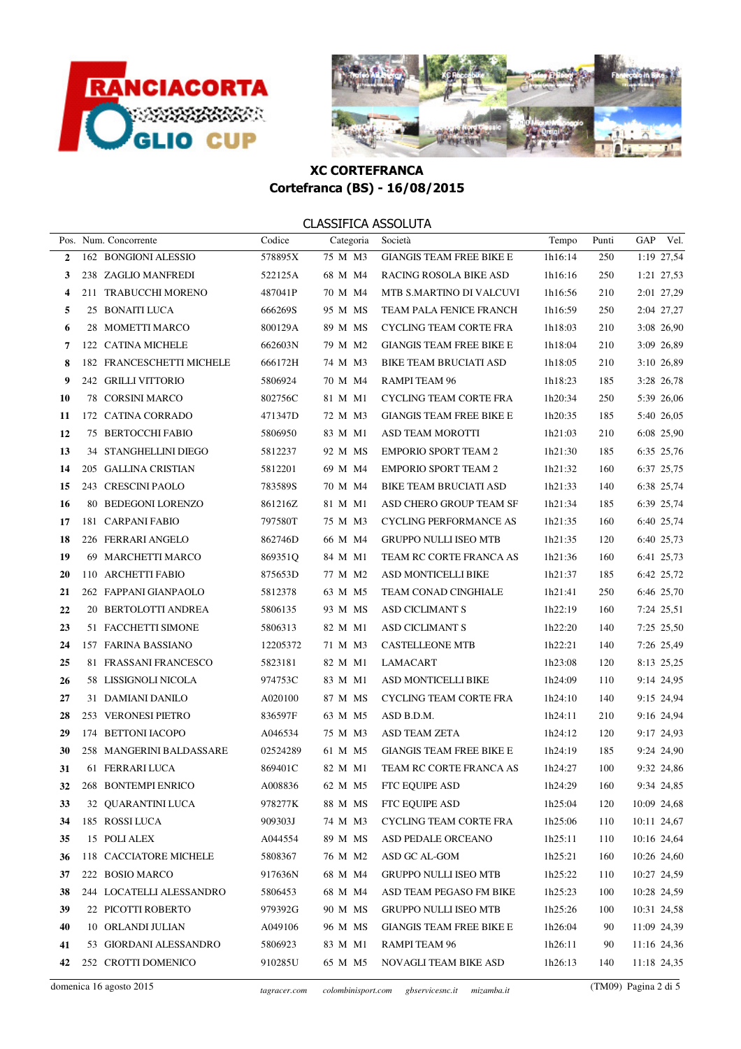



|                  | Pos. Num. Concorrente     | Codice   | Categoria | Società                         | Tempo   | Punti | GAP<br>Vel. |
|------------------|---------------------------|----------|-----------|---------------------------------|---------|-------|-------------|
| $\overline{2}$   | 162 BONGIONI ALESSIO      | 578895X  | 75 M M3   | <b>GIANGIS TEAM FREE BIKE E</b> | 1h16:14 | 250   | 1:19 27,54  |
| 3                | 238 ZAGLIO MANFREDI       | 522125A  | 68 M M4   | RACING ROSOLA BIKE ASD          | 1h16:16 | 250   | 1:21 27,53  |
| $\boldsymbol{4}$ | 211 TRABUCCHI MORENO      | 487041P  | 70 M M4   | MTB S.MARTINO DI VALCUVI        | 1h16:56 | 210   | 2:01 27,29  |
| 5                | 25 BONAITI LUCA           | 666269S  | 95 M MS   | TEAM PALA FENICE FRANCH         | 1h16:59 | 250   | 2:04 27,27  |
| 6                | 28 MOMETTI MARCO          | 800129A  | 89 M MS   | <b>CYCLING TEAM CORTE FRA</b>   | 1h18:03 | 210   | 3:08 26,90  |
| 7                | 122 CATINA MICHELE        | 662603N  | 79 M M2   | <b>GIANGIS TEAM FREE BIKE E</b> | 1h18:04 | 210   | 3:09 26,89  |
| 8                | 182 FRANCESCHETTI MICHELE | 666172H  | 74 M M3   | <b>BIKE TEAM BRUCIATI ASD</b>   | 1h18:05 | 210   | 3:10 26,89  |
| 9                | 242 GRILLI VITTORIO       | 5806924  | 70 M M4   | RAMPI TEAM 96                   | 1h18:23 | 185   | 3:28 26,78  |
| 10               | <b>78 CORSINI MARCO</b>   | 802756C  | 81 M M1   | CYCLING TEAM CORTE FRA          | 1h20:34 | 250   | 5:39 26,06  |
| 11               | 172 CATINA CORRADO        | 471347D  | 72 M M3   | <b>GIANGIS TEAM FREE BIKE E</b> | 1h20:35 | 185   | 5:40 26,05  |
| 12               | 75 BERTOCCHI FABIO        | 5806950  | 83 M M1   | <b>ASD TEAM MOROTTI</b>         | 1h21:03 | 210   | 6:08 25,90  |
| 13               | 34 STANGHELLINI DIEGO     | 5812237  | 92 M MS   | <b>EMPORIO SPORT TEAM 2</b>     | 1h21:30 | 185   | 6:35 25,76  |
| 14               | 205 GALLINA CRISTIAN      | 5812201  | 69 M M4   | <b>EMPORIO SPORT TEAM 2</b>     | 1h21:32 | 160   | 6:37 25,75  |
| 15               | 243 CRESCINI PAOLO        | 783589S  | 70 M M4   | <b>BIKE TEAM BRUCIATI ASD</b>   | 1h21:33 | 140   | 6:38 25,74  |
| 16               | 80 BEDEGONI LORENZO       | 861216Z  | 81 M M1   | ASD CHERO GROUP TEAM SF         | 1h21:34 | 185   | 6:39 25,74  |
| 17               | 181 CARPANI FABIO         | 797580T  | 75 M M3   | <b>CYCLING PERFORMANCE AS</b>   | 1h21:35 | 160   | 6:40 25,74  |
| 18               | 226 FERRARI ANGELO        | 862746D  | 66 M M4   | <b>GRUPPO NULLI ISEO MTB</b>    | 1h21:35 | 120   | 6:40 25,73  |
| 19               | 69 MARCHETTI MARCO        | 869351Q  | 84 M M1   | TEAM RC CORTE FRANCA AS         | 1h21:36 | 160   | 6:41 25,73  |
| 20               | 110 ARCHETTI FABIO        | 875653D  | 77 M M2   | ASD MONTICELLI BIKE             | 1h21:37 | 185   | 6:42 25,72  |
| 21               | 262 FAPPANI GIANPAOLO     | 5812378  | 63 M M5   | <b>TEAM CONAD CINGHIALE</b>     | 1h21:41 | 250   | 6:46 25,70  |
| 22               | 20 BERTOLOTTI ANDREA      | 5806135  | 93 M MS   | <b>ASD CICLIMANT S</b>          | 1h22:19 | 160   | 7:24 25,51  |
| 23               | 51 FACCHETTI SIMONE       | 5806313  | 82 M M1   | <b>ASD CICLIMANT S</b>          | lh22:20 | 140   | 7:25 25,50  |
| 24               | 157 FARINA BASSIANO       | 12205372 | 71 M M3   | <b>CASTELLEONE MTB</b>          | 1h22:21 | 140   | 7:26 25,49  |
| 25               | 81 FRASSANI FRANCESCO     | 5823181  | 82 M M1   | LAMACART                        | 1h23:08 | 120   | 8:13 25,25  |
| 26               | 58 LISSIGNOLI NICOLA      | 974753C  | 83 M M1   | ASD MONTICELLI BIKE             | 1h24:09 | 110   | 9:14 24,95  |
| 27               | 31 DAMIANI DANILO         | A020100  | 87 M MS   | <b>CYCLING TEAM CORTE FRA</b>   | 1h24:10 | 140   | 9:15 24,94  |
| 28               | 253 VERONESI PIETRO       | 836597F  | 63 M M5   | ASD B.D.M.                      | 1h24:11 | 210   | 9:16 24,94  |
| 29               | 174 BETTONI IACOPO        | A046534  | 75 M M3   | ASD TEAM ZETA                   | lh24:12 | 120   | 9:17 24,93  |
| 30               | 258 MANGERINI BALDASSARE  | 02524289 | 61 M M5   | <b>GIANGIS TEAM FREE BIKE E</b> | lh24:19 | 185   | 9:24 24,90  |
| 31               | 61 FERRARI LUCA           | 869401C  | 82 M M1   | TEAM RC CORTE FRANCA AS         | 1h24:27 | 100   | 9:32 24,86  |
| 32               | 268 BONTEMPI ENRICO       | A008836  |           | 62 M M5 FTC EQUIPE ASD          | 1h24:29 | 160   | 9:34 24,85  |
| 33               | 32 QUARANTINI LUCA        | 978277K  | 88 M MS   | FTC EQUIPE ASD                  | 1h25:04 | 120   | 10:09 24,68 |
| 34               | 185 ROSSI LUCA            | 909303J  | 74 M M3   | CYCLING TEAM CORTE FRA          | 1h25:06 | 110   | 10:11 24,67 |
| 35               | 15 POLI ALEX              | A044554  | 89 M MS   | ASD PEDALE ORCEANO              | 1h25:11 | 110   | 10:16 24,64 |
| 36               | 118 CACCIATORE MICHELE    | 5808367  | 76 M M2   | ASD GC AL-GOM                   | 1h25:21 | 160   | 10:26 24,60 |
| 37               | 222 BOSIO MARCO           | 917636N  | 68 M M4   | <b>GRUPPO NULLI ISEO MTB</b>    | 1h25:22 | 110   | 10:27 24,59 |
| 38               | 244 LOCATELLI ALESSANDRO  | 5806453  | 68 M M4   | ASD TEAM PEGASO FM BIKE         | 1h25:23 | 100   | 10:28 24,59 |
| 39               | 22 PICOTTI ROBERTO        | 979392G  | 90 M MS   | <b>GRUPPO NULLI ISEO MTB</b>    | 1h25:26 | 100   | 10:31 24,58 |
| 40               | 10 ORLANDI JULIAN         | A049106  | 96 M MS   | <b>GIANGIS TEAM FREE BIKE E</b> | 1h26:04 | 90    | 11:09 24,39 |
| 41               | 53 GIORDANI ALESSANDRO    | 5806923  | 83 M M1   | RAMPI TEAM 96                   | 1h26:11 | 90    | 11:16 24,36 |
| 42               | 252 CROTTI DOMENICO       | 910285U  | 65 M M5   | NOVAGLI TEAM BIKE ASD           | 1h26:13 | 140   | 11:18 24,35 |
|                  |                           |          |           |                                 |         |       |             |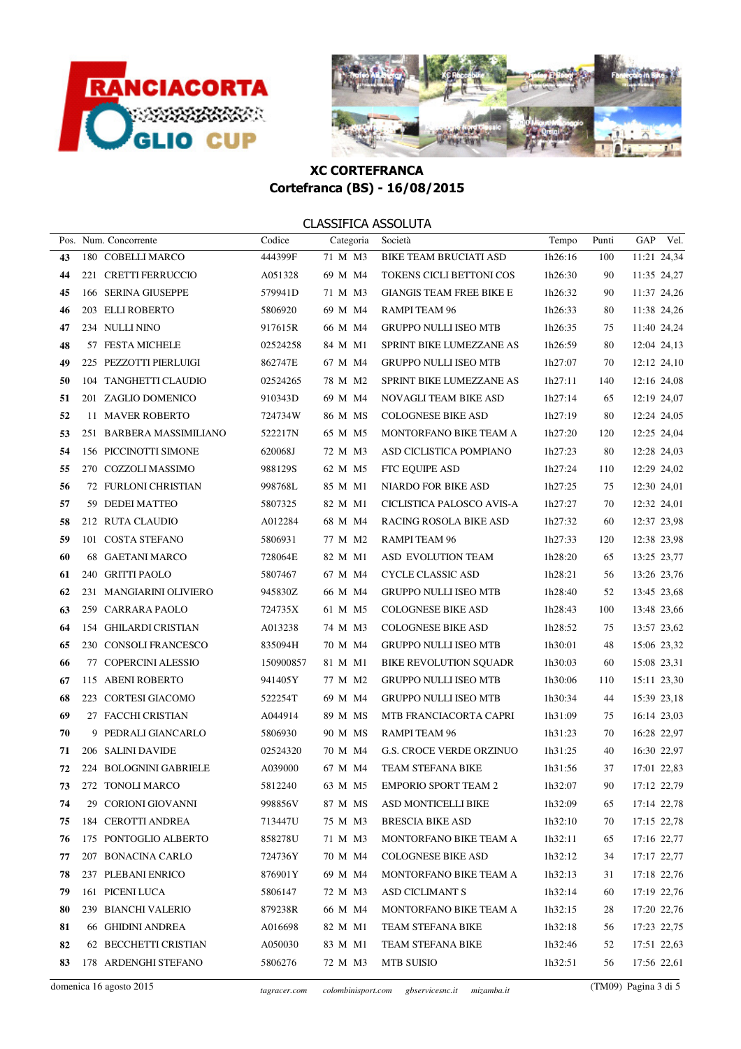



|    | Pos. Num. Concorrente    | Codice    | Categoria | Società                         | Tempo   | Punti | GAP<br>Vel. |
|----|--------------------------|-----------|-----------|---------------------------------|---------|-------|-------------|
| 43 | 180 COBELLI MARCO        | 444399F   | 71 M M3   | <b>BIKE TEAM BRUCIATI ASD</b>   | 1h26:16 | 100   | 11:21 24,34 |
| 44 | 221 CRETTI FERRUCCIO     | A051328   | 69 M M4   | TOKENS CICLI BETTONI COS        | 1h26:30 | 90    | 11:35 24,27 |
| 45 | 166 SERINA GIUSEPPE      | 579941D   | 71 M M3   | <b>GIANGIS TEAM FREE BIKE E</b> | 1h26:32 | 90    | 11:37 24,26 |
| 46 | 203 ELLI ROBERTO         | 5806920   | 69 M M4   | RAMPI TEAM 96                   | 1h26:33 | 80    | 11:38 24,26 |
| 47 | 234 NULLI NINO           | 917615R   | 66 M M4   | <b>GRUPPO NULLI ISEO MTB</b>    | 1h26:35 | 75    | 11:40 24,24 |
| 48 | 57 FESTA MICHELE         | 02524258  | 84 M M1   | SPRINT BIKE LUMEZZANE AS        | 1h26:59 | 80    | 12:04 24,13 |
| 49 | 225 PEZZOTTI PIERLUIGI   | 862747E   | 67 M M4   | <b>GRUPPO NULLI ISEO MTB</b>    | 1h27:07 | 70    | 12:12 24,10 |
| 50 | 104 TANGHETTI CLAUDIO    | 02524265  | 78 M M2   | SPRINT BIKE LUMEZZANE AS        | 1h27:11 | 140   | 12:16 24,08 |
| 51 | 201 ZAGLIO DOMENICO      | 910343D   | 69 M M4   | NOVAGLI TEAM BIKE ASD           | 1h27:14 | 65    | 12:19 24,07 |
| 52 | 11 MAVER ROBERTO         | 724734W   | 86 M MS   | <b>COLOGNESE BIKE ASD</b>       | 1h27:19 | 80    | 12:24 24,05 |
| 53 | 251 BARBERA MASSIMILIANO | 522217N   | 65 M M5   | MONTORFANO BIKE TEAM A          | 1h27:20 | 120   | 12:25 24,04 |
| 54 | 156 PICCINOTTI SIMONE    | 620068J   | 72 M M3   | ASD CICLISTICA POMPIANO         | 1h27:23 | 80    | 12:28 24,03 |
| 55 | 270 COZZOLI MASSIMO      | 988129S   | 62 M M5   | FTC EQUIPE ASD                  | 1h27:24 | 110   | 12:29 24,02 |
| 56 | 72 FURLONI CHRISTIAN     | 998768L   | 85 M M1   | NIARDO FOR BIKE ASD             | 1h27:25 | 75    | 12:30 24,01 |
| 57 | 59 DEDEI MATTEO          | 5807325   | 82 M M1   | CICLISTICA PALOSCO AVIS-A       | 1h27:27 | 70    | 12:32 24,01 |
| 58 | 212 RUTA CLAUDIO         | A012284   | 68 M M4   | RACING ROSOLA BIKE ASD          | 1h27:32 | 60    | 12:37 23,98 |
| 59 | 101 COSTA STEFANO        | 5806931   | 77 M M2   | RAMPI TEAM 96                   | 1h27:33 | 120   | 12:38 23,98 |
| 60 | 68 GAETANI MARCO         | 728064E   | 82 M M1   | ASD EVOLUTION TEAM              | 1h28:20 | 65    | 13:25 23,77 |
| 61 | 240 GRITTI PAOLO         | 5807467   | 67 M M4   | CYCLE CLASSIC ASD               | 1h28:21 | 56    | 13:26 23,76 |
| 62 | 231 MANGIARINI OLIVIERO  | 945830Z   | 66 M M4   | <b>GRUPPO NULLI ISEO MTB</b>    | 1h28:40 | 52    | 13:45 23,68 |
| 63 | 259 CARRARA PAOLO        | 724735X   | 61 M M5   | <b>COLOGNESE BIKE ASD</b>       | 1h28:43 | 100   | 13:48 23,66 |
| 64 | 154 GHILARDI CRISTIAN    | A013238   | 74 M M3   | <b>COLOGNESE BIKE ASD</b>       | 1h28:52 | 75    | 13:57 23,62 |
| 65 | 230 CONSOLI FRANCESCO    | 835094H   | 70 M M4   | <b>GRUPPO NULLI ISEO MTB</b>    | 1h30:01 | 48    | 15:06 23,32 |
| 66 | 77 COPERCINI ALESSIO     | 150900857 | 81 M M1   | BIKE REVOLUTION SQUADR          | 1h30:03 | 60    | 15:08 23,31 |
| 67 | 115 ABENI ROBERTO        | 941405Y   | 77 M M2   | <b>GRUPPO NULLI ISEO MTB</b>    | 1h30:06 | 110   | 15:11 23,30 |
| 68 | 223 CORTESI GIACOMO      | 522254T   | 69 M M4   | <b>GRUPPO NULLI ISEO MTB</b>    | 1h30:34 | 44    | 15:39 23,18 |
| 69 | 27 FACCHI CRISTIAN       | A044914   | 89 M MS   | MTB FRANCIACORTA CAPRI          | 1h31:09 | 75    | 16:14 23,03 |
| 70 | 9 PEDRALI GIANCARLO      | 5806930   | 90 M MS   | RAMPI TEAM 96                   | 1h31:23 | 70    | 16:28 22,97 |
| 71 | 206 SALINI DAVIDE        | 02524320  | 70 M M4   | <b>G.S. CROCE VERDE ORZINUO</b> | 1h31:25 | 40    | 16:30 22,97 |
| 72 | 224 BOLOGNINI GABRIELE   | A039000   | 67 M M4   | TEAM STEFANA BIKE               | 1h31:56 | 37    | 17:01 22,83 |
| 73 | 272 TONOLI MARCO         | 5812240   |           | 63 M M5 EMPORIO SPORT TEAM 2    | 1h32:07 | 90    | 17:12 22,79 |
| 74 | 29 CORIONI GIOVANNI      | 998856V   | 87 M MS   | ASD MONTICELLI BIKE             | lh32:09 | 65    | 17:14 22,78 |
| 75 | 184 CEROTTI ANDREA       | 713447U   | 75 M M3   | <b>BRESCIA BIKE ASD</b>         | 1h32:10 | 70    | 17:15 22,78 |
| 76 | 175 PONTOGLIO ALBERTO    | 858278U   | 71 M M3   | MONTORFANO BIKE TEAM A          | 1h32:11 | 65    | 17:16 22,77 |
| 77 | 207 BONACINA CARLO       | 724736Y   | 70 M M4   | <b>COLOGNESE BIKE ASD</b>       | 1h32:12 | 34    | 17:17 22,77 |
| 78 | 237 PLEBANI ENRICO       | 876901Y   | 69 M M4   | MONTORFANO BIKE TEAM A          | lh32:13 | 31    | 17:18 22,76 |
| 79 | 161 PICENI LUCA          | 5806147   | 72 M M3   | <b>ASD CICLIMANT S</b>          | 1h32:14 | 60    | 17:19 22,76 |
| 80 | 239 BIANCHI VALERIO      | 879238R   | 66 M M4   | MONTORFANO BIKE TEAM A          | 1h32:15 | 28    | 17:20 22,76 |
| 81 | 66 GHIDINI ANDREA        | A016698   | 82 M M1   | TEAM STEFANA BIKE               | 1h32:18 | 56    | 17:23 22,75 |
| 82 | 62 BECCHETTI CRISTIAN    | A050030   | 83 M M1   | TEAM STEFANA BIKE               | 1h32:46 | 52    | 17:51 22,63 |
| 83 | 178 ARDENGHI STEFANO     | 5806276   | 72 M M3   | MTB SUISIO                      | 1h32:51 | 56    | 17:56 22,61 |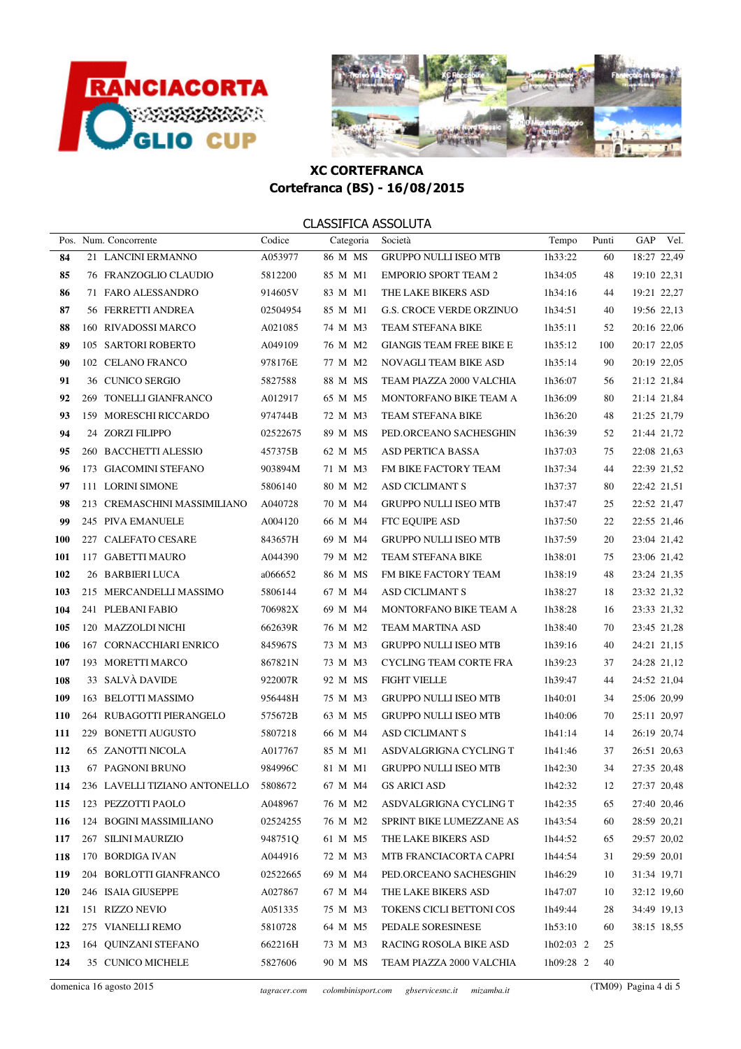



|     | Pos. Num. Concorrente                 | Codice   | Categoria | Società                         | Tempo       | Punti | GAP         | Vel. |
|-----|---------------------------------------|----------|-----------|---------------------------------|-------------|-------|-------------|------|
| 84  | 21 LANCINI ERMANNO                    | A053977  | 86 M MS   | <b>GRUPPO NULLI ISEO MTB</b>    | 1h33:22     | 60    | 18:27 22,49 |      |
| 85  | 76 FRANZOGLIO CLAUDIO                 | 5812200  | 85 M M1   | <b>EMPORIO SPORT TEAM 2</b>     | 1h34:05     | 48    | 19:10 22,31 |      |
| 86  | 71 FARO ALESSANDRO                    | 914605V  | 83 M M1   | THE LAKE BIKERS ASD             | 1h34:16     | 44    | 19:21 22,27 |      |
| 87  | 56 FERRETTI ANDREA                    | 02504954 | 85 M M1   | <b>G.S. CROCE VERDE ORZINUO</b> | 1h34:51     | 40    | 19:56 22,13 |      |
| 88  | 160 RIVADOSSI MARCO                   | A021085  | 74 M M3   | TEAM STEFANA BIKE               | 1h35:11     | 52    | 20:16 22,06 |      |
| 89  | 105 SARTORI ROBERTO                   | A049109  | 76 M M2   | <b>GIANGIS TEAM FREE BIKE E</b> | 1h35:12     | 100   | 20:17 22,05 |      |
| 90  | 102 CELANO FRANCO                     | 978176E  | 77 M M2   | NOVAGLI TEAM BIKE ASD           | 1h35:14     | 90    | 20:19 22,05 |      |
| 91  | 36 CUNICO SERGIO                      | 5827588  | 88 M MS   | TEAM PIAZZA 2000 VALCHIA        | 1h36:07     | 56    | 21:12 21,84 |      |
| 92  | 269 TONELLI GIANFRANCO                | A012917  | 65 M M5   | MONTORFANO BIKE TEAM A          | 1h36:09     | 80    | 21:14 21,84 |      |
| 93  | 159 MORESCHI RICCARDO                 | 974744B  | 72 M M3   | TEAM STEFANA BIKE               | 1h36:20     | 48    | 21:25 21,79 |      |
| 94  | 24 ZORZI FILIPPO                      | 02522675 | 89 M MS   | PED.ORCEANO SACHESGHIN          | 1h36:39     | 52    | 21:44 21,72 |      |
| 95  | 260 BACCHETTI ALESSIO                 | 457375B  | 62 M M5   | ASD PERTICA BASSA               | 1h37:03     | 75    | 22:08 21,63 |      |
| 96  | 173 GIACOMINI STEFANO                 | 903894M  | 71 M M3   | FM BIKE FACTORY TEAM            | 1h37:34     | 44    | 22:39 21,52 |      |
| 97  | 111 LORINI SIMONE                     | 5806140  | 80 M M2   | <b>ASD CICLIMANT S</b>          | 1h37:37     | 80    | 22:42 21,51 |      |
| 98  | 213 CREMASCHINI MASSIMILIANO          | A040728  | 70 M M4   | GRUPPO NULLI ISEO MTB           | 1h37:47     | 25    | 22:52 21,47 |      |
| 99  | 245 PIVA EMANUELE                     | A004120  | 66 M M4   | FTC EQUIPE ASD                  | 1h37:50     | 22    | 22:55 21,46 |      |
| 100 | 227 CALEFATO CESARE                   | 843657H  | 69 M M4   | <b>GRUPPO NULLI ISEO MTB</b>    | 1h37:59     | 20    | 23:04 21,42 |      |
| 101 | 117 GABETTI MAURO                     | A044390  | 79 M M2   | TEAM STEFANA BIKE               | 1h38:01     | 75    | 23:06 21,42 |      |
| 102 | 26 BARBIERI LUCA                      | a066652  | 86 M MS   | FM BIKE FACTORY TEAM            | 1h38:19     | 48    | 23:24 21,35 |      |
| 103 | 215 MERCANDELLI MASSIMO               | 5806144  | 67 M M4   | <b>ASD CICLIMANT S</b>          | 1h38:27     | 18    | 23:32 21,32 |      |
| 104 | 241 PLEBANI FABIO                     | 706982X  | 69 M M4   | MONTORFANO BIKE TEAM A          | 1h38:28     | 16    | 23:33 21,32 |      |
| 105 | 120 MAZZOLDI NICHI                    | 662639R  | 76 M M2   | TEAM MARTINA ASD                | 1h38:40     | 70    | 23:45 21,28 |      |
| 106 | 167 CORNACCHIARI ENRICO               | 845967S  | 73 M M3   | <b>GRUPPO NULLI ISEO MTB</b>    | 1h39:16     | 40    | 24:21 21,15 |      |
| 107 | 193 MORETTI MARCO                     | 867821N  | 73 M M3   | CYCLING TEAM CORTE FRA          | 1h39:23     | 37    | 24:28 21,12 |      |
| 108 | 33 SALVÀ DAVIDE                       | 922007R  | 92 M MS   | <b>FIGHT VIELLE</b>             | 1h39:47     | 44    | 24:52 21,04 |      |
| 109 | 163 BELOTTI MASSIMO                   | 956448H  | 75 M M3   | <b>GRUPPO NULLI ISEO MTB</b>    | 1h40:01     | 34    | 25:06 20,99 |      |
| 110 | 264 RUBAGOTTI PIERANGELO              | 575672B  | 63 M M5   | <b>GRUPPO NULLI ISEO MTB</b>    | 1h40:06     | 70    | 25:11 20.97 |      |
| 111 | 229 BONETTI AUGUSTO                   | 5807218  | 66 M M4   | <b>ASD CICLIMANT S</b>          | 1h41:14     | 14    | 26:19 20,74 |      |
| 112 | <b>65 ZANOTTI NICOLA</b>              | A017767  | 85 M M1   | ASDVALGRIGNA CYCLING T          | 1h41:46     | 37    | 26:51 20,63 |      |
| 113 | 67 PAGNONI BRUNO                      | 984996C  | 81 M M1   | <b>GRUPPO NULLI ISEO MTB</b>    | 1h42:30     | 34    | 27:35 20,48 |      |
| 114 | 236 LAVELLI TIZIANO ANTONELLO 5808672 |          |           | 67 M M4 GS ARICI ASD            | 1h42:32     | 12    | 27:37 20,48 |      |
| 115 | 123 PEZZOTTI PAOLO                    | A048967  | 76 M M2   | ASDVALGRIGNA CYCLING T          | 1h42:35     | 65    | 27:40 20,46 |      |
| 116 | 124 BOGINI MASSIMILIANO               | 02524255 | 76 M M2   | SPRINT BIKE LUMEZZANE AS        | 1h43:54     | 60    | 28:59 20,21 |      |
| 117 | 267 SILINI MAURIZIO                   | 948751Q  | 61 M M5   | THE LAKE BIKERS ASD             | 1h44:52     | 65    | 29:57 20,02 |      |
| 118 | 170 BORDIGA IVAN                      | A044916  | 72 M M3   | MTB FRANCIACORTA CAPRI          | 1h44:54     | 31    | 29:59 20,01 |      |
| 119 | 204 BORLOTTI GIANFRANCO               | 02522665 | 69 M M4   | PED.ORCEANO SACHESGHIN          | 1h46:29     | 10    | 31:34 19,71 |      |
| 120 | 246 ISAIA GIUSEPPE                    | A027867  | 67 M M4   | THE LAKE BIKERS ASD             | 1h47:07     | 10    | 32:12 19,60 |      |
| 121 | 151 RIZZO NEVIO                       | A051335  | 75 M M3   | TOKENS CICLI BETTONI COS        | 1h49:44     | 28    | 34:49 19,13 |      |
| 122 | 275 VIANELLI REMO                     | 5810728  | 64 M M5   | PEDALE SORESINESE               | 1h53:10     | 60    | 38:15 18,55 |      |
| 123 | 164 QUINZANI STEFANO                  | 662216H  | 73 M M3   | RACING ROSOLA BIKE ASD          | $1h02:03$ 2 | 25    |             |      |
| 124 | 35 CUNICO MICHELE                     | 5827606  | 90 M MS   | TEAM PIAZZA 2000 VALCHIA        | 1h09:28 2   | 40    |             |      |
|     |                                       |          |           |                                 |             |       |             |      |